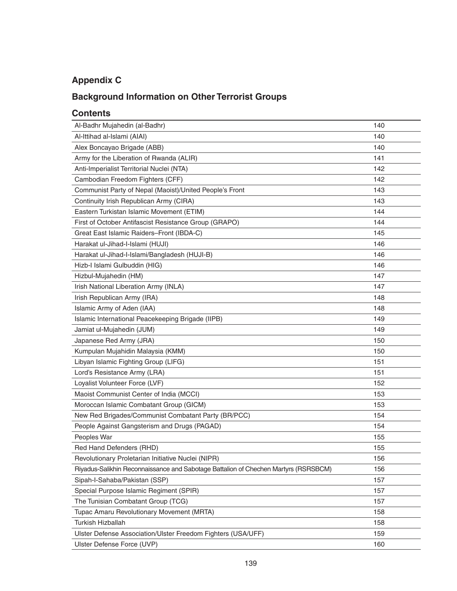# **Appendix C**

# **Background Information on Other Terrorist Groups**

## **Contents**

| Al-Badhr Mujahedin (al-Badhr)                                                       | 140 |
|-------------------------------------------------------------------------------------|-----|
| Al-Ittihad al-Islami (AIAI)                                                         | 140 |
| Alex Boncayao Brigade (ABB)                                                         | 140 |
| Army for the Liberation of Rwanda (ALIR)                                            | 141 |
| Anti-Imperialist Territorial Nuclei (NTA)                                           | 142 |
| Cambodian Freedom Fighters (CFF)                                                    | 142 |
| Communist Party of Nepal (Maoist)/United People's Front                             | 143 |
| Continuity Irish Republican Army (CIRA)                                             | 143 |
| Eastern Turkistan Islamic Movement (ETIM)                                           | 144 |
| First of October Antifascist Resistance Group (GRAPO)                               | 144 |
| Great East Islamic Raiders-Front (IBDA-C)                                           | 145 |
| Harakat ul-Jihad-I-Islami (HUJI)                                                    | 146 |
| Harakat ul-Jihad-I-Islami/Bangladesh (HUJI-B)                                       | 146 |
| Hizb-I Islami Gulbuddin (HIG)                                                       | 146 |
| Hizbul-Mujahedin (HM)                                                               | 147 |
| Irish National Liberation Army (INLA)                                               | 147 |
| Irish Republican Army (IRA)                                                         | 148 |
| Islamic Army of Aden (IAA)                                                          | 148 |
| Islamic International Peacekeeping Brigade (IIPB)                                   | 149 |
| Jamiat ul-Mujahedin (JUM)                                                           | 149 |
| Japanese Red Army (JRA)                                                             | 150 |
| Kumpulan Mujahidin Malaysia (KMM)                                                   | 150 |
| Libyan Islamic Fighting Group (LIFG)                                                | 151 |
| Lord's Resistance Army (LRA)                                                        | 151 |
| Loyalist Volunteer Force (LVF)                                                      | 152 |
| Maoist Communist Center of India (MCCI)                                             | 153 |
| Moroccan Islamic Combatant Group (GICM)                                             | 153 |
| New Red Brigades/Communist Combatant Party (BR/PCC)                                 | 154 |
| People Against Gangsterism and Drugs (PAGAD)                                        | 154 |
| Peoples War                                                                         | 155 |
| Red Hand Defenders (RHD)                                                            | 155 |
| Revolutionary Proletarian Initiative Nuclei (NIPR)                                  | 156 |
| Riyadus-Salikhin Reconnaissance and Sabotage Battalion of Chechen Martyrs (RSRSBCM) | 156 |
| Sipah-I-Sahaba/Pakistan (SSP)                                                       | 157 |
| Special Purpose Islamic Regiment (SPIR)                                             | 157 |
| The Tunisian Combatant Group (TCG)                                                  | 157 |
| Tupac Amaru Revolutionary Movement (MRTA)                                           | 158 |
| Turkish Hizballah                                                                   | 158 |
| Ulster Defense Association/Ulster Freedom Fighters (USA/UFF)                        | 159 |
| Ulster Defense Force (UVP)                                                          | 160 |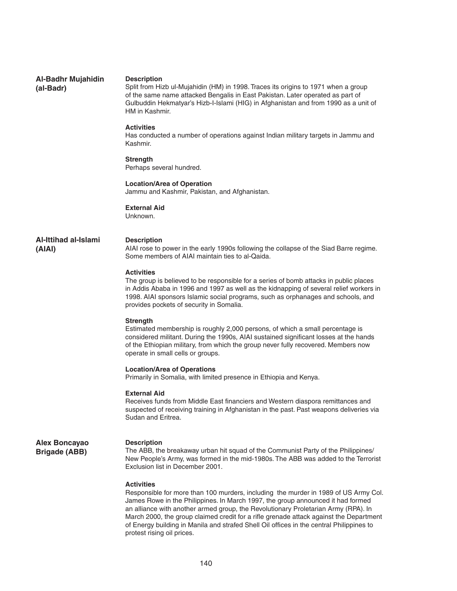| <b>Al-Badhr Mujahidin</b><br>(al-Badr)       | <b>Description</b><br>Split from Hizb ul-Mujahidin (HM) in 1998. Traces its origins to 1971 when a group<br>of the same name attacked Bengalis in East Pakistan. Later operated as part of<br>Gulbuddin Hekmatyar's Hizb-I-Islami (HIG) in Afghanistan and from 1990 as a unit of<br>HM in Kashmir.                                                                                                                                                                     |
|----------------------------------------------|-------------------------------------------------------------------------------------------------------------------------------------------------------------------------------------------------------------------------------------------------------------------------------------------------------------------------------------------------------------------------------------------------------------------------------------------------------------------------|
|                                              | <b>Activities</b><br>Has conducted a number of operations against Indian military targets in Jammu and<br>Kashmir.                                                                                                                                                                                                                                                                                                                                                      |
|                                              | <b>Strength</b><br>Perhaps several hundred.                                                                                                                                                                                                                                                                                                                                                                                                                             |
|                                              | <b>Location/Area of Operation</b><br>Jammu and Kashmir, Pakistan, and Afghanistan.                                                                                                                                                                                                                                                                                                                                                                                      |
|                                              | <b>External Aid</b><br>Unknown.                                                                                                                                                                                                                                                                                                                                                                                                                                         |
| <b>Al-Ittihad al-Islami</b><br>(AIAI)        | <b>Description</b><br>AIAI rose to power in the early 1990s following the collapse of the Siad Barre regime.<br>Some members of AIAI maintain ties to al-Qaida.                                                                                                                                                                                                                                                                                                         |
|                                              | <b>Activities</b><br>The group is believed to be responsible for a series of bomb attacks in public places<br>in Addis Ababa in 1996 and 1997 as well as the kidnapping of several relief workers in<br>1998. AIAI sponsors Islamic social programs, such as orphanages and schools, and<br>provides pockets of security in Somalia.                                                                                                                                    |
|                                              | <b>Strength</b><br>Estimated membership is roughly 2,000 persons, of which a small percentage is<br>considered militant. During the 1990s, AIAI sustained significant losses at the hands<br>of the Ethiopian military, from which the group never fully recovered. Members now<br>operate in small cells or groups.                                                                                                                                                    |
|                                              | <b>Location/Area of Operations</b><br>Primarily in Somalia, with limited presence in Ethiopia and Kenya.                                                                                                                                                                                                                                                                                                                                                                |
|                                              | <b>External Aid</b><br>Receives funds from Middle East financiers and Western diaspora remittances and<br>suspected of receiving training in Afghanistan in the past. Past weapons deliveries via<br>Sudan and Eritrea.                                                                                                                                                                                                                                                 |
| <b>Alex Boncayao</b><br><b>Brigade (ABB)</b> | <b>Description</b><br>The ABB, the breakaway urban hit squad of the Communist Party of the Philippines/<br>New People's Army, was formed in the mid-1980s. The ABB was added to the Terrorist<br>Exclusion list in December 2001.                                                                                                                                                                                                                                       |
|                                              | <b>Activities</b><br>Responsible for more than 100 murders, including the murder in 1989 of US Army Col.<br>James Rowe in the Philippines. In March 1997, the group announced it had formed<br>an alliance with another armed group, the Revolutionary Proletarian Army (RPA). In<br>March 2000, the group claimed credit for a rifle grenade attack against the Department<br>of Energy building in Manila and strafed Shell Oil offices in the central Philippines to |

protest rising oil prices.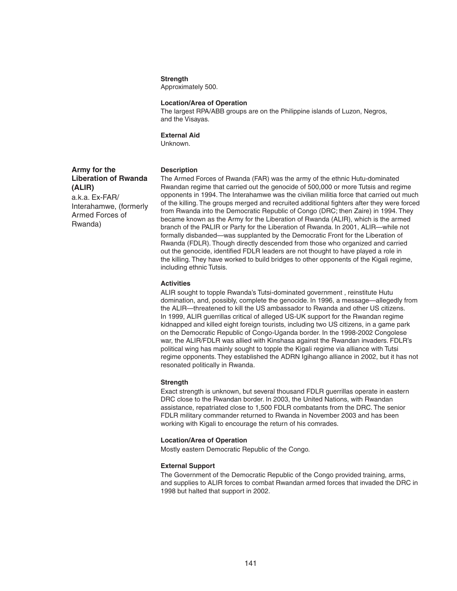#### **Strength**

Approximately 500.

### **Location/Area of Operation**

The largest RPA/ABB groups are on the Philippine islands of Luzon, Negros, and the Visayas.

#### **External Aid**

Unknown.

### **Description**

The Armed Forces of Rwanda (FAR) was the army of the ethnic Hutu-dominated Rwandan regime that carried out the genocide of 500,000 or more Tutsis and regime opponents in 1994. The Interahamwe was the civilian militia force that carried out much of the killing. The groups merged and recruited additional fighters after they were forced from Rwanda into the Democratic Republic of Congo (DRC; then Zaire) in 1994. They became known as the Army for the Liberation of Rwanda (ALIR), which is the armed branch of the PALIR or Party for the Liberation of Rwanda. In 2001, ALIR—while not formally disbanded—was supplanted by the Democratic Front for the Liberation of Rwanda (FDLR). Though directly descended from those who organized and carried out the genocide, identified FDLR leaders are not thought to have played a role in the killing. They have worked to build bridges to other opponents of the Kigali regime, including ethnic Tutsis.

#### **Activities**

ALIR sought to topple Rwanda's Tutsi-dominated government , reinstitute Hutu domination, and, possibly, complete the genocide. In 1996, a message—allegedly from the ALIR—threatened to kill the US ambassador to Rwanda and other US citizens. In 1999, ALIR guerrillas critical of alleged US-UK support for the Rwandan regime kidnapped and killed eight foreign tourists, including two US citizens, in a game park on the Democratic Republic of Congo-Uganda border. In the 1998-2002 Congolese war, the ALIR/FDLR was allied with Kinshasa against the Rwandan invaders. FDLR's political wing has mainly sought to topple the Kigali regime via alliance with Tutsi regime opponents. They established the ADRN Igihango alliance in 2002, but it has not resonated politically in Rwanda.

#### **Strength**

Exact strength is unknown, but several thousand FDLR guerrillas operate in eastern DRC close to the Rwandan border. In 2003, the United Nations, with Rwandan assistance, repatriated close to 1,500 FDLR combatants from the DRC. The senior FDLR military commander returned to Rwanda in November 2003 and has been working with Kigali to encourage the return of his comrades.

#### **Location/Area of Operation**

Mostly eastern Democratic Republic of the Congo.

#### **External Support**

The Government of the Democratic Republic of the Congo provided training, arms, and supplies to ALIR forces to combat Rwandan armed forces that invaded the DRC in 1998 but halted that support in 2002.

## **Army for the Liberation of Rwanda (ALIR)** a.k.a. Ex-FAR/

Interahamwe, (formerly Armed Forces of Rwanda)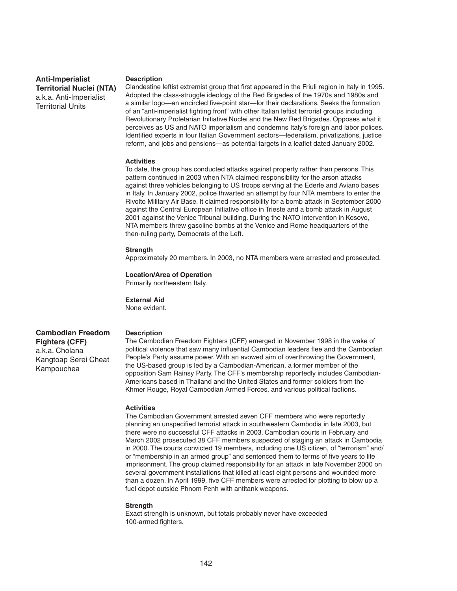## **Anti-Imperialist Territorial Nuclei (NTA)** a.k.a. Anti-Imperialist

Territorial Units

#### **Description**

Clandestine leftist extremist group that first appeared in the Friuli region in Italy in 1995. Adopted the class-struggle ideology of the Red Brigades of the 1970s and 1980s and a similar logo—an encircled five-point star—for their declarations. Seeks the formation of an "anti-imperialist fighting front" with other Italian leftist terrorist groups including Revolutionary Proletarian Initiative Nuclei and the New Red Brigades. Opposes what it perceives as US and NATO imperialism and condemns Italy's foreign and labor polices. Identified experts in four Italian Government sectors-federalism, privatizations, justice reform, and jobs and pensions—as potential targets in a leaflet dated January 2002.

#### **Activities**

To date, the group has conducted attacks against property rather than persons. This pattern continued in 2003 when NTA claimed responsibility for the arson attacks against three vehicles belonging to US troops serving at the Ederle and Aviano bases in Italy. In January 2002, police thwarted an attempt by four NTA members to enter the Rivolto Military Air Base. It claimed responsibility for a bomb attack in September 2000 against the Central European Initiative office in Trieste and a bomb attack in August 2001 against the Venice Tribunal building. During the NATO intervention in Kosovo, NTA members threw gasoline bombs at the Venice and Rome headquarters of the then-ruling party, Democrats of the Left.

#### **Strength**

Approximately 20 members. In 2003, no NTA members were arrested and prosecuted.

## **Location/Area of Operation**

Primarily northeastern Italy.

#### **External Aid**

None evident.

## **Cambodian Freedom Fighters (CFF)** a.k.a. Cholana Kangtoap Serei Cheat

Kampouchea

**Description**

The Cambodian Freedom Fighters (CFF) emerged in November 1998 in the wake of political violence that saw many influential Cambodian leaders flee and the Cambodian People's Party assume power. With an avowed aim of overthrowing the Government, the US-based group is led by a Cambodian-American, a former member of the opposition Sam Rainsy Party. The CFF's membership reportedly includes Cambodian-Americans based in Thailand and the United States and former soldiers from the Khmer Rouge, Royal Cambodian Armed Forces, and various political factions.

#### **Activities**

The Cambodian Government arrested seven CFF members who were reportedly planning an unspecified terrorist attack in southwestern Cambodia in late 2003, but there were no successful CFF attacks in 2003. Cambodian courts in February and March 2002 prosecuted 38 CFF members suspected of staging an attack in Cambodia in 2000. The courts convicted 19 members, including one US citizen, of "terrorism" and/ or "membership in an armed group" and sentenced them to terms of five years to life imprisonment. The group claimed responsibility for an attack in late November 2000 on several government installations that killed at least eight persons and wounded more than a dozen. In April 1999, five CFF members were arrested for plotting to blow up a fuel depot outside Phnom Penh with antitank weapons.

#### **Strength**

Exact strength is unknown, but totals probably never have exceeded 100-armed fighters.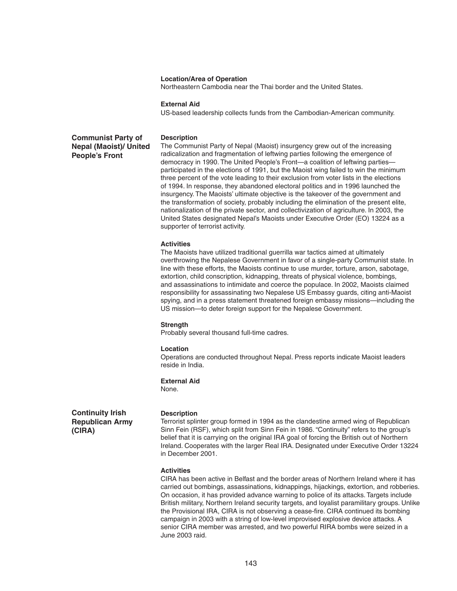Northeastern Cambodia near the Thai border and the United States.

#### **External Aid**

US-based leadership collects funds from the Cambodian-American community.

**Communist Party of Nepal (Maoist)/ United People's Front**

#### **Description**

The Communist Party of Nepal (Maoist) insurgency grew out of the increasing radicalization and fragmentation of leftwing parties following the emergence of democracy in 1990. The United People's Front—a coalition of leftwing parties participated in the elections of 1991, but the Maoist wing failed to win the minimum three percent of the vote leading to their exclusion from voter lists in the elections of 1994. In response, they abandoned electoral politics and in 1996 launched the insurgency. The Maoists' ultimate objective is the takeover of the government and the transformation of society, probably including the elimination of the present elite, nationalization of the private sector, and collectivization of agriculture. In 2003, the United States designated Nepal's Maoists under Executive Order (EO) 13224 as a supporter of terrorist activity.

#### **Activities**

The Maoists have utilized traditional guerrilla war tactics aimed at ultimately overthrowing the Nepalese Government in favor of a single-party Communist state. In line with these efforts, the Maoists continue to use murder, torture, arson, sabotage, extortion, child conscription, kidnapping, threats of physical violence, bombings, and assassinations to intimidate and coerce the populace. In 2002, Maoists claimed responsibility for assassinating two Nepalese US Embassy guards, citing anti-Maoist spying, and in a press statement threatened foreign embassy missions—including the US mission—to deter foreign support for the Nepalese Government.

## **Strength**

Probably several thousand full-time cadres.

#### **Location**

Operations are conducted throughout Nepal. Press reports indicate Maoist leaders reside in India.

#### **External Aid**

None.

**Continuity Irish Republican Army (CIRA)**

#### **Description**

Terrorist splinter group formed in 1994 as the clandestine armed wing of Republican Sinn Fein (RSF), which split from Sinn Fein in 1986. "Continuity" refers to the group's belief that it is carrying on the original IRA goal of forcing the British out of Northern Ireland. Cooperates with the larger Real IRA. Designated under Executive Order 13224 in December 2001.

#### **Activities**

CIRA has been active in Belfast and the border areas of Northern Ireland where it has carried out bombings, assassinations, kidnappings, hijackings, extortion, and robberies. On occasion, it has provided advance warning to police of its attacks. Targets include British military, Northern Ireland security targets, and loyalist paramilitary groups. Unlike the Provisional IRA, CIRA is not observing a cease-fire. CIRA continued its bombing campaign in 2003 with a string of low-level improvised explosive device attacks. A senior CIRA member was arrested, and two powerful RIRA bombs were seized in a June 2003 raid.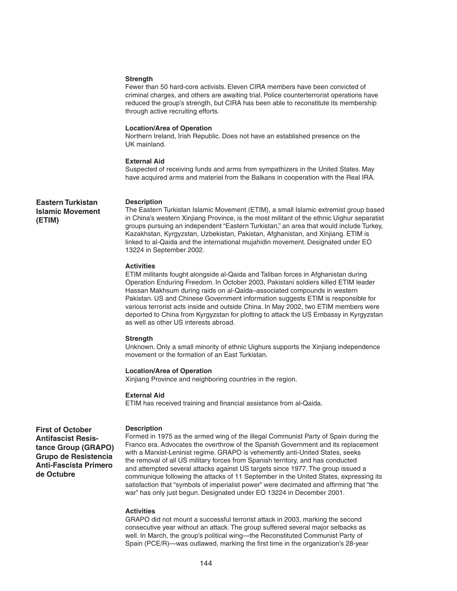#### **Strength**

Fewer than 50 hard-core activists. Eleven CIRA members have been convicted of criminal charges, and others are awaiting trial. Police counterterrorist operations have reduced the group's strength, but CIRA has been able to reconstitute its membership through active recruiting efforts.

#### **Location/Area of Operation**

Northern Ireland, Irish Republic. Does not have an established presence on the UK mainland.

#### **External Aid**

Suspected of receiving funds and arms from sympathizers in the United States. May have acquired arms and materiel from the Balkans in cooperation with the Real IRA.

## **Eastern Turkistan Islamic Movement (ETIM)**

#### **Description**

The Eastern Turkistan Islamic Movement (ETIM), a small Islamic extremist group based in China's western Xinjiang Province, is the most militant of the ethnic Uighur separatist groups pursuing an independent "Eastern Turkistan," an area that would include Turkey, Kazakhstan, Kyrgyzstan, Uzbekistan, Pakistan, Afghanistan, and Xinjiang. ETIM is linked to al-Qaida and the international mujahidin movement. Designated under EO 13224 in September 2002.

#### **Activities**

ETIM militants fought alongside al-Qaida and Taliban forces in Afghanistan during Operation Enduring Freedom. In October 2003, Pakistani soldiers killed ETIM leader Hassan Makhsum during raids on al-Qaida–associated compounds in western Pakistan. US and Chinese Government information suggests ETIM is responsible for various terrorist acts inside and outside China. In May 2002, two ETIM members were deported to China from Kyrgyzstan for plotting to attack the US Embassy in Kyrgyzstan as well as other US interests abroad.

#### **Strength**

Unknown. Only a small minority of ethnic Uighurs supports the Xinjiang independence movement or the formation of an East Turkistan.

#### **Location/Area of Operation**

Xinjiang Province and neighboring countries in the region.

#### **External Aid**

ETIM has received training and financial assistance from al-Qaida.

**First of October Antifascist Resistance Group (GRAPO) Grupo de Resistencia Anti-Fascista Primero de Octubre**

#### **Description**

Formed in 1975 as the armed wing of the illegal Communist Party of Spain during the Franco era. Advocates the overthrow of the Spanish Government and its replacement with a Marxist-Leninist regime. GRAPO is vehemently anti-United States, seeks the removal of all US military forces from Spanish territory, and has conducted and attempted several attacks against US targets since 1977. The group issued a communique following the attacks of 11 September in the United States, expressing its satisfaction that "symbols of imperialist power" were decimated and affirming that "the war" has only just begun. Designated under EO 13224 in December 2001.

#### **Activities**

GRAPO did not mount a successful terrorist attack in 2003, marking the second consecutive year without an attack. The group suffered several major setbacks as well. In March, the group's political wing—the Reconstituted Communist Party of Spain (PCE/R)—was outlawed, marking the first time in the organization's 28-year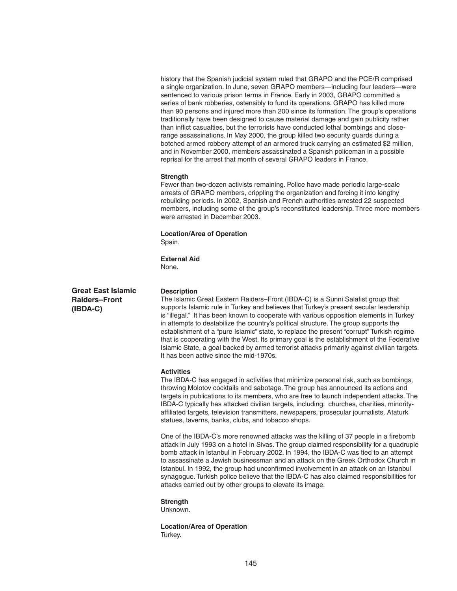history that the Spanish judicial system ruled that GRAPO and the PCE/R comprised a single organization. In June, seven GRAPO members—including four leaders—were sentenced to various prison terms in France. Early in 2003, GRAPO committed a series of bank robberies, ostensibly to fund its operations. GRAPO has killed more than 90 persons and injured more than 200 since its formation. The group's operations traditionally have been designed to cause material damage and gain publicity rather than inflict casualties, but the terrorists have conducted lethal bombings and closerange assassinations. In May 2000, the group killed two security guards during a botched armed robbery attempt of an armored truck carrying an estimated \$2 million, and in November 2000, members assassinated a Spanish policeman in a possible reprisal for the arrest that month of several GRAPO leaders in France.

#### **Strength**

Fewer than two-dozen activists remaining. Police have made periodic large-scale arrests of GRAPO members, crippling the organization and forcing it into lengthy rebuilding periods. In 2002, Spanish and French authorities arrested 22 suspected members, including some of the group's reconstituted leadership. Three more members were arrested in December 2003.

## **Location/Area of Operation**

Spain.

**External Aid** None.

**Great East Islamic Raiders–Front (IBDA-C)**

## **Description**

The Islamic Great Eastern Raiders–Front (IBDA-C) is a Sunni Salafist group that supports Islamic rule in Turkey and believes that Turkey's present secular leadership is "illegal." It has been known to cooperate with various opposition elements in Turkey in attempts to destabilize the country's political structure. The group supports the establishment of a "pure Islamic" state, to replace the present "corrupt" Turkish regime that is cooperating with the West. Its primary goal is the establishment of the Federative Islamic State, a goal backed by armed terrorist attacks primarily against civilian targets. It has been active since the mid-1970s.

#### **Activities**

The IBDA-C has engaged in activities that minimize personal risk, such as bombings, throwing Molotov cocktails and sabotage. The group has announced its actions and targets in publications to its members, who are free to launch independent attacks. The IBDA-C typically has attacked civilian targets, including: churches, charities, minorityaffiliated targets, television transmitters, newspapers, prosecular journalists, Ataturk statues, taverns, banks, clubs, and tobacco shops.

One of the IBDA-C's more renowned attacks was the killing of 37 people in a firebomb attack in July 1993 on a hotel in Sivas. The group claimed responsibility for a quadruple bomb attack in Istanbul in February 2002. In 1994, the IBDA-C was tied to an attempt to assassinate a Jewish businessman and an attack on the Greek Orthodox Church in Istanbul. In 1992, the group had unconfirmed involvement in an attack on an Istanbul synagogue. Turkish police believe that the IBDA-C has also claimed responsibilities for attacks carried out by other groups to elevate its image.

#### **Strength**

Unknown.

**Location/Area of Operation** Turkey.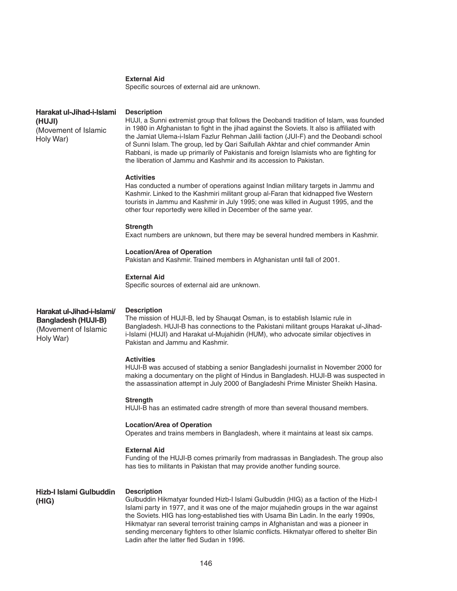## **External Aid**

Specific sources of external aid are unknown.

| Harakat ul-Jihad-i-Islami<br>(HUJI)<br>(Movement of Islamic<br>Holy War)                      | <b>Description</b><br>HUJI, a Sunni extremist group that follows the Deobandi tradition of Islam, was founded<br>in 1980 in Afghanistan to fight in the jihad against the Soviets. It also is affiliated with<br>the Jamiat Ulema-i-Islam Fazlur Rehman Jalili faction (JUI-F) and the Deobandi school<br>of Sunni Islam. The group, led by Qari Saifullah Akhtar and chief commander Amin<br>Rabbani, is made up primarily of Pakistanis and foreign Islamists who are fighting for<br>the liberation of Jammu and Kashmir and its accession to Pakistan. |
|-----------------------------------------------------------------------------------------------|------------------------------------------------------------------------------------------------------------------------------------------------------------------------------------------------------------------------------------------------------------------------------------------------------------------------------------------------------------------------------------------------------------------------------------------------------------------------------------------------------------------------------------------------------------|
|                                                                                               | <b>Activities</b><br>Has conducted a number of operations against Indian military targets in Jammu and<br>Kashmir. Linked to the Kashmiri militant group al-Faran that kidnapped five Western<br>tourists in Jammu and Kashmir in July 1995; one was killed in August 1995, and the<br>other four reportedly were killed in December of the same year.                                                                                                                                                                                                     |
|                                                                                               | <b>Strength</b><br>Exact numbers are unknown, but there may be several hundred members in Kashmir.                                                                                                                                                                                                                                                                                                                                                                                                                                                         |
|                                                                                               | <b>Location/Area of Operation</b><br>Pakistan and Kashmir. Trained members in Afghanistan until fall of 2001.                                                                                                                                                                                                                                                                                                                                                                                                                                              |
|                                                                                               | <b>External Aid</b><br>Specific sources of external aid are unknown.                                                                                                                                                                                                                                                                                                                                                                                                                                                                                       |
| Harakat ul-Jihad-i-Islami/<br><b>Bangladesh (HUJI-B)</b><br>(Movement of Islamic<br>Holy War) | <b>Description</b><br>The mission of HUJI-B, led by Shauqat Osman, is to establish Islamic rule in<br>Bangladesh. HUJI-B has connections to the Pakistani militant groups Harakat ul-Jihad-<br>i-Islami (HUJI) and Harakat ul-Mujahidin (HUM), who advocate similar objectives in<br>Pakistan and Jammu and Kashmir.                                                                                                                                                                                                                                       |
|                                                                                               | <b>Activities</b><br>HUJI-B was accused of stabbing a senior Bangladeshi journalist in November 2000 for<br>making a documentary on the plight of Hindus in Bangladesh. HUJI-B was suspected in<br>the assassination attempt in July 2000 of Bangladeshi Prime Minister Sheikh Hasina.                                                                                                                                                                                                                                                                     |
|                                                                                               | <b>Strength</b><br>HUJI-B has an estimated cadre strength of more than several thousand members.                                                                                                                                                                                                                                                                                                                                                                                                                                                           |
|                                                                                               | <b>Location/Area of Operation</b><br>Operates and trains members in Bangladesh, where it maintains at least six camps.                                                                                                                                                                                                                                                                                                                                                                                                                                     |
|                                                                                               | <b>External Aid</b><br>Funding of the HUJI-B comes primarily from madrassas in Bangladesh. The group also<br>has ties to militants in Pakistan that may provide another funding source.                                                                                                                                                                                                                                                                                                                                                                    |
| Hizb-I Islami Gulbuddin<br>(HIG)                                                              | <b>Description</b><br>Gulbuddin Hikmatyar founded Hizb-I Islami Gulbuddin (HIG) as a faction of the Hizb-I<br>Islami party in 1977, and it was one of the major mujahedin groups in the war against<br>the Soviets. HIG has long-established ties with Usama Bin Ladin. In the early 1990s,<br>Hikmatyar ran several terrorist training camps in Afghanistan and was a pioneer in<br>sending mercenary fighters to other Islamic conflicts. Hikmatyar offered to shelter Bin<br>Ladin after the latter fled Sudan in 1996.                                 |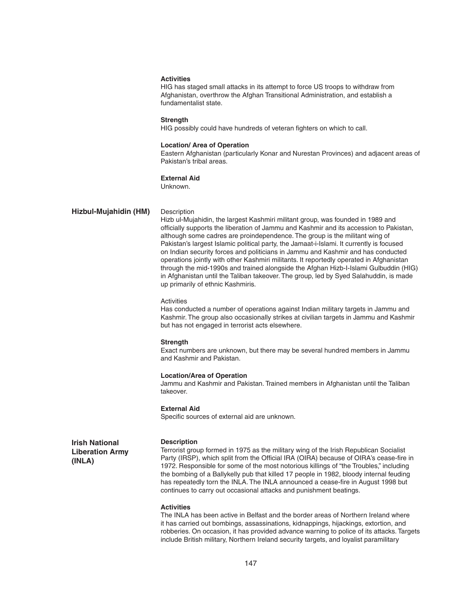HIG has staged small attacks in its attempt to force US troops to withdraw from Afghanistan, overthrow the Afghan Transitional Administration, and establish a fundamentalist state.

#### **Strength**

HIG possibly could have hundreds of veteran fighters on which to call.

#### **Location/ Area of Operation**

Eastern Afghanistan (particularly Konar and Nurestan Provinces) and adjacent areas of Pakistan's tribal areas.

#### **External Aid**

Unknown.

#### **Description Hizbul-Mujahidin (HM)**

Hizb ul-Mujahidin, the largest Kashmiri militant group, was founded in 1989 and officially supports the liberation of Jammu and Kashmir and its accession to Pakistan, although some cadres are proindependence. The group is the militant wing of Pakistan's largest Islamic political party, the Jamaat-i-Islami. It currently is focused on Indian security forces and politicians in Jammu and Kashmir and has conducted operations jointly with other Kashmiri militants. It reportedly operated in Afghanistan through the mid-1990s and trained alongside the Afghan Hizb-I-Islami Gulbuddin (HIG) in Afghanistan until the Taliban takeover. The group, led by Syed Salahuddin, is made up primarily of ethnic Kashmiris.

#### **Activities**

Has conducted a number of operations against Indian military targets in Jammu and Kashmir. The group also occasionally strikes at civilian targets in Jammu and Kashmir but has not engaged in terrorist acts elsewhere.

#### **Strength**

Exact numbers are unknown, but there may be several hundred members in Jammu and Kashmir and Pakistan.

## **Location/Area of Operation**

Jammu and Kashmir and Pakistan. Trained members in Afghanistan until the Taliban takeover.

#### **External Aid**

Specific sources of external aid are unknown.

**Irish National Liberation Army (INLA)** 

#### **Description**

Terrorist group formed in 1975 as the military wing of the Irish Republican Socialist Party (IRSP), which split from the Official IRA (OIRA) because of OIRA's cease-fire in 1972. Responsible for some of the most notorious killings of "the Troubles," including the bombing of a Ballykelly pub that killed 17 people in 1982, bloody internal feuding has repeatedly torn the INLA. The INLA announced a cease-fire in August 1998 but continues to carry out occasional attacks and punishment beatings.

#### **Activities**

The INLA has been active in Belfast and the border areas of Northern Ireland where it has carried out bombings, assassinations, kidnappings, hijackings, extortion, and robberies. On occasion, it has provided advance warning to police of its attacks. Targets include British military, Northern Ireland security targets, and loyalist paramilitary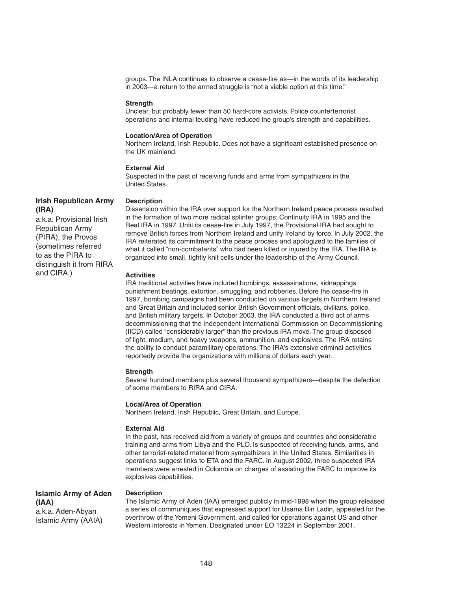groups. The INLA continues to observe a cease-fire as—in the words of its leadership in 2003—a return to the armed struggle is "not a viable option at this time."

#### **Strength**

Unclear, but probably fewer than 50 hard-core activists. Police counterterrorist operations and internal feuding have reduced the group's strength and capabilities.

#### **Location/Area of Operation**

Northern Ireland, Irish Republic. Does not have a significant established presence on the UK mainland.

## **External Aid**

**Description**

Suspected in the past of receiving funds and arms from sympathizers in the United States.

## **Irish Republican Army (IRA)**

a.k.a. Provisional Irish Republican Army (PIRA), the Provos (sometimes referred to as the PIRA to distinguish it from RIRA and CIRA.)

Dissension within the IRA over support for the Northern Ireland peace process resulted in the formation of two more radical splinter groups: Continuity IRA in 1995 and the Real IRA in 1997. Until its cease-fire in July 1997, the Provisional IRA had sought to remove British forces from Northern Ireland and unify Ireland by force. In July 2002, the IRA reiterated its commitment to the peace process and apologized to the families of what it called "non-combatants" who had been killed or injured by the IRA. The IRA is organized into small, tightly knit cells under the leadership of the Army Council.

#### **Activities**

IRA traditional activities have included bombings, assassinations, kidnappings, punishment beatings, extortion, smuggling, and robberies. Before the cease-fire in 1997, bombing campaigns had been conducted on various targets in Northern Ireland and Great Britain and included senior British Government officials, civilians, police, and British military targets. In October 2003, the IRA conducted a third act of arms decommissioning that the Independent International Commission on Decommissioning (IICD) called "considerably larger" than the previous IRA move. The group disposed of light, medium, and heavy weapons, ammunition, and explosives. The IRA retains the ability to conduct paramilitary operations. The IRA's extensive criminal activities reportedly provide the organizations with millions of dollars each year.

#### **Strength**

Several hundred members plus several thousand sympathizers—despite the defection of some members to RIRA and CIRA.

#### **Local/Area of Operation**

Northern Ireland, Irish Republic, Great Britain, and Europe.

#### **External Aid**

In the past, has received aid from a variety of groups and countries and considerable training and arms from Libya and the PLO. Is suspected of receiving funds, arms, and other terrorist-related materiel from sympathizers in the United States. Similarities in operations suggest links to ETA and the FARC. In August 2002, three suspected IRA members were arrested in Colombia on charges of assisting the FARC to improve its explosives capabilities.

#### **Description Islamic Army of Aden (IAA)**

a.k.a. Aden-Abyan Islamic Army (AAIA)

The Islamic Army of Aden (IAA) emerged publicly in mid-1998 when the group released a series of communiques that expressed support for Usama Bin Ladin, appealed for the overthrow of the Yemeni Government, and called for operations against US and other Western interests in Yemen. Designated under EO 13224 in September 2001.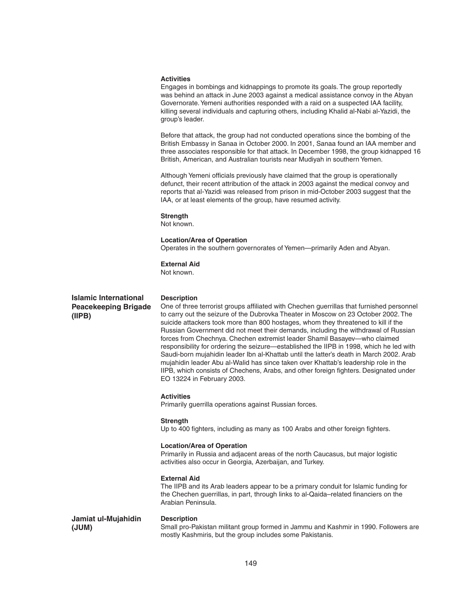Engages in bombings and kidnappings to promote its goals. The group reportedly was behind an attack in June 2003 against a medical assistance convoy in the Abyan Governorate. Yemeni authorities responded with a raid on a suspected IAA facility, killing several individuals and capturing others, including Khalid al-Nabi al-Yazidi, the group's leader.

Before that attack, the group had not conducted operations since the bombing of the British Embassy in Sanaa in October 2000. In 2001, Sanaa found an IAA member and three associates responsible for that attack. In December 1998, the group kidnapped 16 British, American, and Australian tourists near Mudiyah in southern Yemen.

Although Yemeni officials previously have claimed that the group is operationally defunct, their recent attribution of the attack in 2003 against the medical convoy and reports that al-Yazidi was released from prison in mid-October 2003 suggest that the IAA, or at least elements of the group, have resumed activity.

#### **Strength**

Not known.

#### **Location/Area of Operation**

Operates in the southern governorates of Yemen—primarily Aden and Abyan.

#### **External Aid**

Not known.

**Islamic International Peacekeeping Brigade (IIPB)**

## **Description**

One of three terrorist groups affiliated with Chechen guerrillas that furnished personnel to carry out the seizure of the Dubrovka Theater in Moscow on 23 October 2002. The suicide attackers took more than 800 hostages, whom they threatened to kill if the Russian Government did not meet their demands, including the withdrawal of Russian forces from Chechnya. Chechen extremist leader Shamil Basayev—who claimed responsibility for ordering the seizure—established the IIPB in 1998, which he led with Saudi-born mujahidin leader Ibn al-Khattab until the latter's death in March 2002. Arab mujahidin leader Abu al-Walid has since taken over Khattab's leadership role in the IIPB, which consists of Chechens, Arabs, and other foreign fighters. Designated under EO 13224 in February 2003.

#### **Activities**

Primarily guerrilla operations against Russian forces.

#### **Strength**

Up to 400 fighters, including as many as 100 Arabs and other foreign fighters.

#### **Location/Area of Operation**

Primarily in Russia and adjacent areas of the north Caucasus, but major logistic activities also occur in Georgia, Azerbaijan, and Turkey.

#### **External Aid**

The IIPB and its Arab leaders appear to be a primary conduit for Islamic funding for the Chechen guerrillas, in part, through links to al-Qaida–related financiers on the Arabian Peninsula.

**Description** Small pro-Pakistan militant group formed in Jammu and Kashmir in 1990. Followers are mostly Kashmiris, but the group includes some Pakistanis. **Jamiat ul-Mujahidin (JUM)**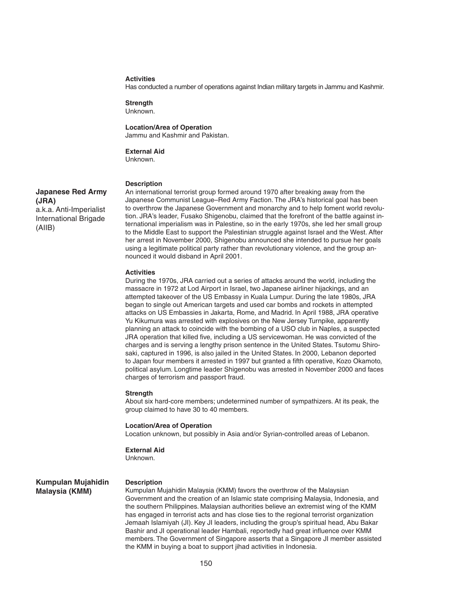Has conducted a number of operations against Indian military targets in Jammu and Kashmir.

#### **Strength**

Unknown.

#### **Location/Area of Operation**

Jammu and Kashmir and Pakistan.

#### **External Aid**

Unknown.

#### **Description**

An international terrorist group formed around 1970 after breaking away from the Japanese Communist League–Red Army Faction. The JRA's historical goal has been to overthrow the Japanese Government and monarchy and to help foment world revolution. JRA's leader, Fusako Shigenobu, claimed that the forefront of the battle against international imperialism was in Palestine, so in the early 1970s, she led her small group to the Middle East to support the Palestinian struggle against Israel and the West. After her arrest in November 2000, Shigenobu announced she intended to pursue her goals using a legitimate political party rather than revolutionary violence, and the group announced it would disband in April 2001.

#### **Activities**

During the 1970s, JRA carried out a series of attacks around the world, including the massacre in 1972 at Lod Airport in Israel, two Japanese airliner hijackings, and an attempted takeover of the US Embassy in Kuala Lumpur. During the late 1980s, JRA began to single out American targets and used car bombs and rockets in attempted attacks on US Embassies in Jakarta, Rome, and Madrid. In April 1988, JRA operative Yu Kikumura was arrested with explosives on the New Jersey Turnpike, apparently planning an attack to coincide with the bombing of a USO club in Naples, a suspected JRA operation that killed five, including a US servicewoman. He was convicted of the charges and is serving a lengthy prison sentence in the United States. Tsutomu Shirosaki, captured in 1996, is also jailed in the United States. In 2000, Lebanon deported to Japan four members it arrested in 1997 but granted a fifth operative, Kozo Okamoto, political asylum. Longtime leader Shigenobu was arrested in November 2000 and faces charges of terrorism and passport fraud.

#### **Strength**

About six hard-core members; undetermined number of sympathizers. At its peak, the group claimed to have 30 to 40 members.

#### **Location/Area of Operation**

Location unknown, but possibly in Asia and/or Syrian-controlled areas of Lebanon.

#### **External Aid**

Unknown.

**Kumpulan Mujahidin Malaysia (KMM)**

**Japanese Red Army** 

a.k.a. Anti-Imperialist International Brigade

**(JRA)**

(AIIB)

#### **Description**

### Kumpulan Mujahidin Malaysia (KMM) favors the overthrow of the Malaysian Government and the creation of an Islamic state comprising Malaysia, Indonesia, and the southern Philippines. Malaysian authorities believe an extremist wing of the KMM has engaged in terrorist acts and has close ties to the regional terrorist organization Jemaah Islamiyah (JI). Key JI leaders, including the group's spiritual head, Abu Bakar Bashir and JI operational leader Hambali, reportedly had great influence over KMM members. The Government of Singapore asserts that a Singapore JI member assisted the KMM in buying a boat to support jihad activities in Indonesia.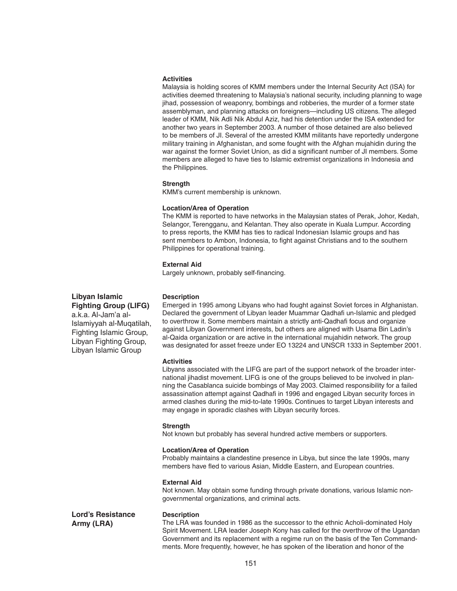Malaysia is holding scores of KMM members under the Internal Security Act (ISA) for activities deemed threatening to Malaysia's national security, including planning to wage jihad, possession of weaponry, bombings and robberies, the murder of a former state assemblyman, and planning attacks on foreigners—including US citizens. The alleged leader of KMM, Nik Adli Nik Abdul Aziz, had his detention under the ISA extended for another two years in September 2003. A number of those detained are also believed to be members of JI. Several of the arrested KMM militants have reportedly undergone military training in Afghanistan, and some fought with the Afghan mujahidin during the war against the former Soviet Union, as did a significant number of JI members. Some members are alleged to have ties to Islamic extremist organizations in Indonesia and the Philippines.

#### **Strength**

KMM's current membership is unknown.

#### **Location/Area of Operation**

The KMM is reported to have networks in the Malaysian states of Perak, Johor, Kedah, Selangor, Terengganu, and Kelantan. They also operate in Kuala Lumpur. According to press reports, the KMM has ties to radical Indonesian Islamic groups and has sent members to Ambon, Indonesia, to fight against Christians and to the southern Philippines for operational training.

#### **External Aid**

Largely unknown, probably self-financing.

# **Libyan Islamic**

**Fighting Group (LIFG)** a.k.a. Al-Jam'a al-Islamiyyah al-Muqatilah, Fighting Islamic Group, Libyan Fighting Group, Libyan Islamic Group

#### **Description**

Emerged in 1995 among Libyans who had fought against Soviet forces in Afghanistan. Declared the government of Libyan leader Muammar Qadhafi un-Islamic and pledged to overthrow it. Some members maintain a strictly anti-Qadhafi focus and organize against Libyan Government interests, but others are aligned with Usama Bin Ladin's al-Qaida organization or are active in the international mujahidin network. The group was designated for asset freeze under EO 13224 and UNSCR 1333 in September 2001.

#### **Activities**

Libyans associated with the LIFG are part of the support network of the broader international jihadist movement. LIFG is one of the groups believed to be involved in planning the Casablanca suicide bombings of May 2003. Claimed responsibility for a failed assassination attempt against Qadhafi in 1996 and engaged Libyan security forces in armed clashes during the mid-to-late 1990s. Continues to target Libyan interests and may engage in sporadic clashes with Libyan security forces.

#### **Strength**

Not known but probably has several hundred active members or supporters.

#### **Location/Area of Operation**

Probably maintains a clandestine presence in Libya, but since the late 1990s, many members have fled to various Asian, Middle Eastern, and European countries.

#### **External Aid**

Not known. May obtain some funding through private donations, various Islamic nongovernmental organizations, and criminal acts.

## **Lord's Resistance Army (LRA)**

## **Description**

The LRA was founded in 1986 as the successor to the ethnic Acholi-dominated Holy Spirit Movement. LRA leader Joseph Kony has called for the overthrow of the Ugandan Government and its replacement with a regime run on the basis of the Ten Commandments. More frequently, however, he has spoken of the liberation and honor of the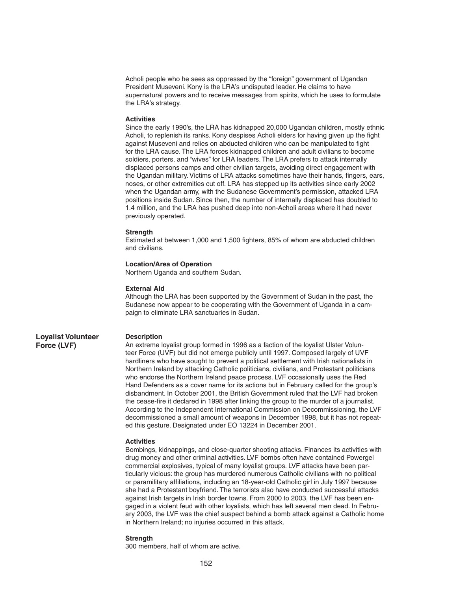Acholi people who he sees as oppressed by the "foreign" government of Ugandan President Museveni. Kony is the LRA's undisputed leader. He claims to have supernatural powers and to receive messages from spirits, which he uses to formulate the LRA's strategy.

### **Activities**

Since the early 1990's, the LRA has kidnapped 20,000 Ugandan children, mostly ethnic Acholi, to replenish its ranks. Kony despises Acholi elders for having given up the fight against Museveni and relies on abducted children who can be manipulated to fight for the LRA cause. The LRA forces kidnapped children and adult civilians to become soldiers, porters, and "wives" for LRA leaders. The LRA prefers to attack internally displaced persons camps and other civilian targets, avoiding direct engagement with the Ugandan military. Victims of LRA attacks sometimes have their hands, fingers, ears, noses, or other extremities cut off. LRA has stepped up its activities since early 2002 when the Ugandan army, with the Sudanese Government's permission, attacked LRA positions inside Sudan. Since then, the number of internally displaced has doubled to 1.4 million, and the LRA has pushed deep into non-Acholi areas where it had never previously operated.

#### **Strength**

Estimated at between 1,000 and 1,500 fighters, 85% of whom are abducted children and civilians.

#### **Location/Area of Operation**

Northern Uganda and southern Sudan.

#### **External Aid**

Although the LRA has been supported by the Government of Sudan in the past, the Sudanese now appear to be cooperating with the Government of Uganda in a campaign to eliminate LRA sanctuaries in Sudan.

## **Loyalist Volunteer Force (LVF)**

#### **Description**

An extreme loyalist group formed in 1996 as a faction of the loyalist Ulster Volunteer Force (UVF) but did not emerge publicly until 1997. Composed largely of UVF hardliners who have sought to prevent a political settlement with Irish nationalists in Northern Ireland by attacking Catholic politicians, civilians, and Protestant politicians who endorse the Northern Ireland peace process. LVF occasionally uses the Red Hand Defenders as a cover name for its actions but in February called for the group's disbandment. In October 2001, the British Government ruled that the LVF had broken the cease-fire it declared in 1998 after linking the group to the murder of a journalist. According to the Independent International Commission on Decommissioning, the LVF decommissioned a small amount of weapons in December 1998, but it has not repeated this gesture. Designated under EO 13224 in December 2001.

#### **Activities**

Bombings, kidnappings, and close-quarter shooting attacks. Finances its activities with drug money and other criminal activities. LVF bombs often have contained Powergel commercial explosives, typical of many loyalist groups. LVF attacks have been particularly vicious: the group has murdered numerous Catholic civilians with no political or paramilitary affiliations, including an 18-year-old Catholic girl in July 1997 because she had a Protestant boyfriend. The terrorists also have conducted successful attacks against Irish targets in Irish border towns. From 2000 to 2003, the LVF has been engaged in a violent feud with other loyalists, which has left several men dead. In February 2003, the LVF was the chief suspect behind a bomb attack against a Catholic home in Northern Ireland; no injuries occurred in this attack.

#### **Strength**

300 members, half of whom are active.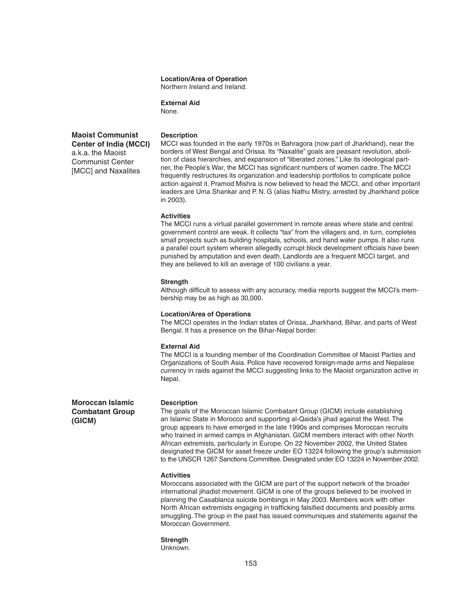Northern Ireland and Ireland.

## **External Aid**

None.

**Maoist Communist Center of India (MCCI)** a.k.a. the Maoist Communist Center [MCC] and Naxalites

#### **Description**

MCCI was founded in the early 1970s in Bahragora (now part of Jharkhand), near the borders of West Bengal and Orissa. Its "Naxalite" goals are peasant revolution, abolition of class hierarchies, and expansion of "liberated zones." Like its ideological partner, the People's War, the MCCI has significant numbers of women cadre. The MCCI frequently restructures its organization and leadership portfolios to complicate police action against it. Pramod Mishra is now believed to head the MCCI, and other important leaders are Uma Shankar and P. N. G (alias Nathu Mistry, arrested by Jharkhand police in 2003).

#### **Activities**

The MCCI runs a virtual parallel government in remote areas where state and central government control are weak. It collects "tax" from the villagers and, in turn, completes small projects such as building hospitals, schools, and hand water pumps. It also runs a parallel court system wherein allegedly corrupt block development officials have been punished by amputation and even death. Landlords are a frequent MCCI target, and they are believed to kill an average of 100 civilians a year.

#### **Strength**

Although difficult to assess with any accuracy, media reports suggest the MCCI's membership may be as high as 30,000.

#### **Location/Area of Operations**

The MCCI operates in the Indian states of Orissa, Jharkhand, Bihar, and parts of West Bengal. It has a presence on the Bihar-Nepal border.

#### **External Aid**

The MCCI is a founding member of the Coordination Committee of Maoist Parties and Organizations of South Asia. Police have recovered foreign-made arms and Nepalese currency in raids against the MCCI suggesting links to the Maoist organization active in Nepal.

**Moroccan Islamic Combatant Group (GICM)**

#### **Description**

The goals of the Moroccan Islamic Combatant Group (GICM) include establishing an Islamic State in Morocco and supporting al-Qaida's jihad against the West. The group appears to have emerged in the late 1990s and comprises Moroccan recruits who trained in armed camps in Afghanistan. GICM members interact with other North African extremists, particularly in Europe. On 22 November 2002, the United States designated the GICM for asset freeze under EO 13224 following the group's submission to the UNSCR 1267 Sanctions Committee. Designated under EO 13224 in November 2002.

#### **Activities**

Moroccans associated with the GICM are part of the support network of the broader international jihadist movement. GICM is one of the groups believed to be involved in planning the Casablanca suicide bombings in May 2003. Members work with other North African extremists engaging in trafficking falsified documents and possibly arms smuggling. The group in the past has issued communiques and statements against the Moroccan Government.

**Strength** Unknown.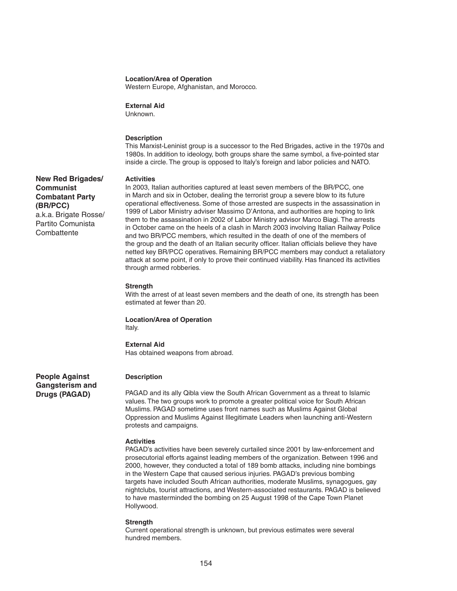Western Europe, Afghanistan, and Morocco.

#### **External Aid**

Unknown.

#### **Description**

This Marxist-Leninist group is a successor to the Red Brigades, active in the 1970s and 1980s. In addition to ideology, both groups share the same symbol, a five-pointed star inside a circle. The group is opposed to Italy's foreign and labor policies and NATO.

#### **Activities**

In 2003, Italian authorities captured at least seven members of the BR/PCC, one in March and six in October, dealing the terrorist group a severe blow to its future operational effectiveness. Some of those arrested are suspects in the assassination in 1999 of Labor Ministry adviser Massimo D'Antona, and authorities are hoping to link them to the assassination in 2002 of Labor Ministry advisor Marco Biagi. The arrests in October came on the heels of a clash in March 2003 involving Italian Railway Police and two BR/PCC members, which resulted in the death of one of the members of the group and the death of an Italian security officer. Italian officials believe they have netted key BR/PCC operatives. Remaining BR/PCC members may conduct a retaliatory attack at some point, if only to prove their continued viability. Has financed its activities through armed robberies.

#### **Strength**

With the arrest of at least seven members and the death of one, its strength has been estimated at fewer than 20.

## **Location/Area of Operation**

Italy.

#### **External Aid**  Has obtained weapons from abroad.

## **Description**

PAGAD and its ally Qibla view the South African Government as a threat to Islamic values. The two groups work to promote a greater political voice for South African Muslims. PAGAD sometime uses front names such as Muslims Against Global Oppression and Muslims Against Illegitimate Leaders when launching anti-Western protests and campaigns.

#### **Activities**

PAGAD's activities have been severely curtailed since 2001 by law-enforcement and prosecutorial efforts against leading members of the organization. Between 1996 and 2000, however, they conducted a total of 189 bomb attacks, including nine bombings in the Western Cape that caused serious injuries. PAGAD's previous bombing targets have included South African authorities, moderate Muslims, synagogues, gay nightclubs, tourist attractions, and Western-associated restaurants. PAGAD is believed to have masterminded the bombing on 25 August 1998 of the Cape Town Planet Hollywood.

#### **Strength**

Current operational strength is unknown, but previous estimates were several hundred members.

**New Red Brigades/ Communist Combatant Party (BR/PCC)** a.k.a. Brigate Rosse/ Partito Comunista

**Combattente** 

**People Against Gangsterism and Drugs (PAGAD)**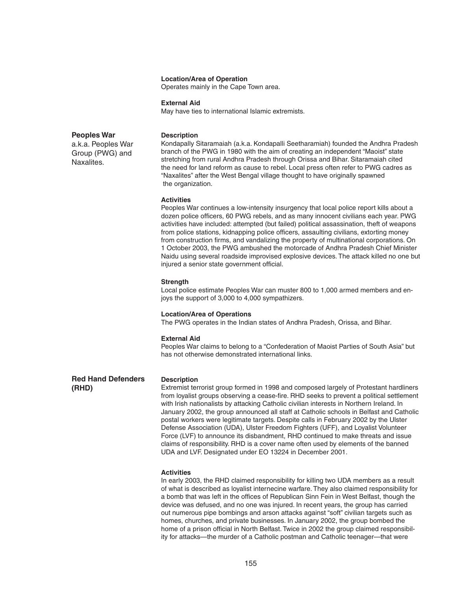Operates mainly in the Cape Town area.

## **External Aid**

May have ties to international Islamic extremists.

#### **Peoples War**

a.k.a. Peoples War Group (PWG) and Naxalites.

#### **Description**

Kondapally Sitaramaiah (a.k.a. Kondapalli Seetharamiah) founded the Andhra Pradesh branch of the PWG in 1980 with the aim of creating an independent "Maoist" state stretching from rural Andhra Pradesh through Orissa and Bihar. Sitaramaiah cited the need for land reform as cause to rebel. Local press often refer to PWG cadres as "Naxalites" after the West Bengal village thought to have originally spawned the organization.

### **Activities**

Peoples War continues a low-intensity insurgency that local police report kills about a dozen police officers, 60 PWG rebels, and as many innocent civilians each year. PWG activities have included: attempted (but failed) political assassination, theft of weapons from police stations, kidnapping police officers, assaulting civilians, extorting money from construction firms, and vandalizing the property of multinational corporations. On 1 October 2003, the PWG ambushed the motorcade of Andhra Pradesh Chief Minister Naidu using several roadside improvised explosive devices. The attack killed no one but injured a senior state government official.

#### **Strength**

Local police estimate Peoples War can muster 800 to 1,000 armed members and enjoys the support of 3,000 to 4,000 sympathizers.

#### **Location/Area of Operations**

The PWG operates in the Indian states of Andhra Pradesh, Orissa, and Bihar.

#### **External Aid**

Peoples War claims to belong to a "Confederation of Maoist Parties of South Asia" but has not otherwise demonstrated international links.

#### **Description Red Hand Defenders**

**(RHD)** 

Extremist terrorist group formed in 1998 and composed largely of Protestant hardliners from loyalist groups observing a cease-fire. RHD seeks to prevent a political settlement with Irish nationalists by attacking Catholic civilian interests in Northern Ireland. In January 2002, the group announced all staff at Catholic schools in Belfast and Catholic postal workers were legitimate targets. Despite calls in February 2002 by the Ulster Defense Association (UDA), Ulster Freedom Fighters (UFF), and Loyalist Volunteer Force (LVF) to announce its disbandment, RHD continued to make threats and issue claims of responsibility. RHD is a cover name often used by elements of the banned UDA and LVF. Designated under EO 13224 in December 2001.

#### **Activities**

In early 2003, the RHD claimed responsibility for killing two UDA members as a result of what is described as loyalist internecine warfare. They also claimed responsibility for a bomb that was left in the offices of Republican Sinn Fein in West Belfast, though the device was defused, and no one was injured. In recent years, the group has carried out numerous pipe bombings and arson attacks against "soft" civilian targets such as homes, churches, and private businesses. In January 2002, the group bombed the home of a prison official in North Belfast. Twice in 2002 the group claimed responsibility for attacks—the murder of a Catholic postman and Catholic teenager—that were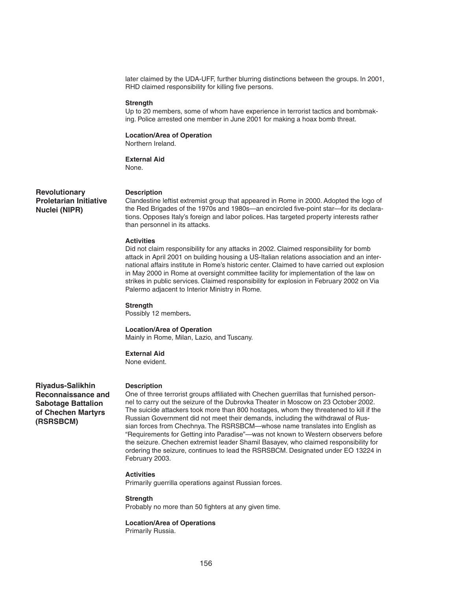later claimed by the UDA-UFF, further blurring distinctions between the groups. In 2001, RHD claimed responsibility for killing five persons.

#### **Strength**

Up to 20 members, some of whom have experience in terrorist tactics and bombmaking. Police arrested one member in June 2001 for making a hoax bomb threat.

**Location/Area of Operation**

Northern Ireland.

**External Aid** None.

**Revolutionary Proletarian Initiative Nuclei (NIPR)**

### **Description**

Clandestine leftist extremist group that appeared in Rome in 2000. Adopted the logo of the Red Brigades of the 1970s and 1980s—an encircled five-point star—for its declarations. Opposes Italy's foreign and labor polices. Has targeted property interests rather than personnel in its attacks.

#### **Activities**

Did not claim responsibility for any attacks in 2002. Claimed responsibility for bomb attack in April 2001 on building housing a US-Italian relations association and an international affairs institute in Rome's historic center. Claimed to have carried out explosion in May 2000 in Rome at oversight committee facility for implementation of the law on strikes in public services. Claimed responsibility for explosion in February 2002 on Via Palermo adjacent to Interior Ministry in Rome.

#### **Strength**

Possibly 12 members**.**

#### **Location/Area of Operation**

Mainly in Rome, Milan, Lazio, and Tuscany.

#### **External Aid**

None evident.

**Riyadus-Salikhin Reconnaissance and Sabotage Battalion of Chechen Martyrs (RSRSBCM)**

### **Description**

One of three terrorist groups affiliated with Chechen guerrillas that furnished personnel to carry out the seizure of the Dubrovka Theater in Moscow on 23 October 2002. The suicide attackers took more than 800 hostages, whom they threatened to kill if the Russian Government did not meet their demands, including the withdrawal of Russian forces from Chechnya. The RSRSBCM—whose name translates into English as "Requirements for Getting into Paradise"—was not known to Western observers before the seizure. Chechen extremist leader Shamil Basayev, who claimed responsibility for ordering the seizure, continues to lead the RSRSBCM. Designated under EO 13224 in February 2003.

#### **Activities**

Primarily guerrilla operations against Russian forces.

#### **Strength**

Probably no more than 50 fighters at any given time.

#### **Location/Area of Operations**

Primarily Russia.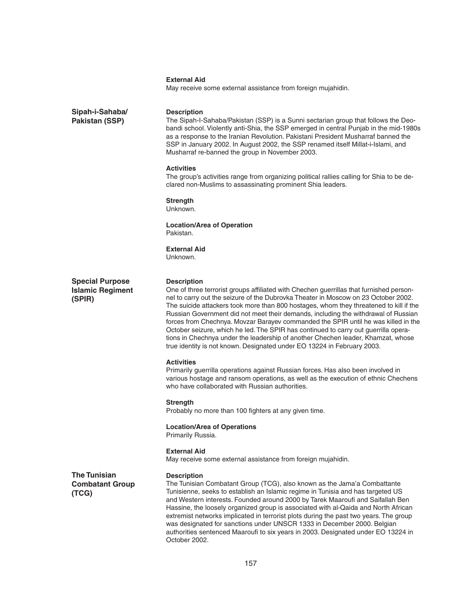#### **External Aid**

May receive some external assistance from foreign mujahidin.

**Sipah-i-Sahaba/ Pakistan (SSP)**

#### **Description**

The Sipah-I-Sahaba/Pakistan (SSP) is a Sunni sectarian group that follows the Deobandi school. Violently anti-Shia, the SSP emerged in central Punjab in the mid-1980s as a response to the Iranian Revolution. Pakistani President Musharraf banned the SSP in January 2002. In August 2002, the SSP renamed itself Millat-i-Islami, and Musharraf re-banned the group in November 2003.

#### **Activities**

The group's activities range from organizing political rallies calling for Shia to be declared non-Muslims to assassinating prominent Shia leaders.

## **Strength**

Unknown.

#### **Location/Area of Operation** Pakistan.

## **External Aid**

**Description**

Unknown.

**Special Purpose Islamic Regiment (SPIR)**

One of three terrorist groups affiliated with Chechen guerrillas that furnished personnel to carry out the seizure of the Dubrovka Theater in Moscow on 23 October 2002. The suicide attackers took more than 800 hostages, whom they threatened to kill if the Russian Government did not meet their demands, including the withdrawal of Russian forces from Chechnya. Movzar Barayev commanded the SPIR until he was killed in the October seizure, which he led. The SPIR has continued to carry out guerrilla operations in Chechnya under the leadership of another Chechen leader, Khamzat, whose true identity is not known. Designated under EO 13224 in February 2003.

#### **Activities**

Primarily guerrilla operations against Russian forces. Has also been involved in various hostage and ransom operations, as well as the execution of ethnic Chechens who have collaborated with Russian authorities.

### **Strength**

Probably no more than 100 fighters at any given time.

#### **Location/Area of Operations**

Primarily Russia.

#### **External Aid**

**Description**

May receive some external assistance from foreign mujahidin.

## **The Tunisian Combatant Group**

**(TCG)**

The Tunisian Combatant Group (TCG), also known as the Jama'a Combattante Tunisienne, seeks to establish an Islamic regime in Tunisia and has targeted US and Western interests. Founded around 2000 by Tarek Maaroufi and Saifallah Ben Hassine, the loosely organized group is associated with al-Qaida and North African extremist networks implicated in terrorist plots during the past two years. The group was designated for sanctions under UNSCR 1333 in December 2000. Belgian authorities sentenced Maaroufi to six years in 2003. Designated under EO 13224 in October 2002.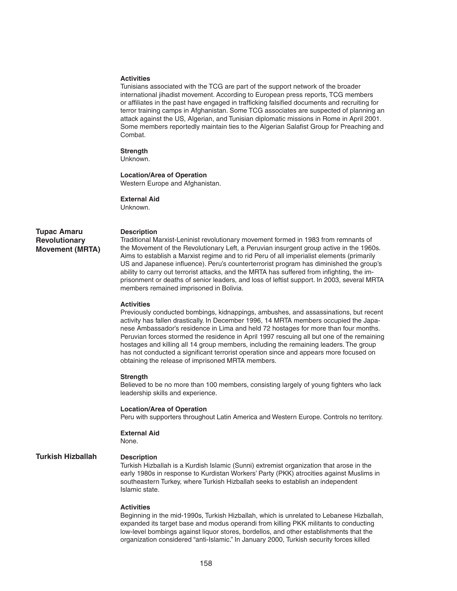Tunisians associated with the TCG are part of the support network of the broader international jihadist movement. According to European press reports, TCG members or affiliates in the past have engaged in trafficking falsified documents and recruiting for terror training camps in Afghanistan. Some TCG associates are suspected of planning an attack against the US, Algerian, and Tunisian diplomatic missions in Rome in April 2001. Some members reportedly maintain ties to the Algerian Salafist Group for Preaching and Combat.

#### **Strength**

Unknown.

## **Location/Area of Operation**

Western Europe and Afghanistan.

#### **External Aid**

Unknown.

## **Tupac Amaru Revolutionary Movement (MRTA)**

## **Description**

Traditional Marxist-Leninist revolutionary movement formed in 1983 from remnants of the Movement of the Revolutionary Left, a Peruvian insurgent group active in the 1960s. Aims to establish a Marxist regime and to rid Peru of all imperialist elements (primarily US and Japanese influence). Peru's counterterrorist program has diminished the group's ability to carry out terrorist attacks, and the MRTA has suffered from infighting, the imprisonment or deaths of senior leaders, and loss of leftist support. In 2003, several MRTA members remained imprisoned in Bolivia.

#### **Activities**

Previously conducted bombings, kidnappings, ambushes, and assassinations, but recent activity has fallen drastically. In December 1996, 14 MRTA members occupied the Japanese Ambassador's residence in Lima and held 72 hostages for more than four months. Peruvian forces stormed the residence in April 1997 rescuing all but one of the remaining hostages and killing all 14 group members, including the remaining leaders. The group has not conducted a significant terrorist operation since and appears more focused on obtaining the release of imprisoned MRTA members.

#### **Strength**

Believed to be no more than 100 members, consisting largely of young fighters who lack leadership skills and experience.

#### **Location/Area of Operation**

Peru with supporters throughout Latin America and Western Europe. Controls no territory.

#### **External Aid**

**Description**

None.

## **Turkish Hizballah**

Turkish Hizballah is a Kurdish Islamic (Sunni) extremist organization that arose in the early 1980s in response to Kurdistan Workers' Party (PKK) atrocities against Muslims in southeastern Turkey, where Turkish Hizballah seeks to establish an independent Islamic state.

#### **Activities**

Beginning in the mid-1990s, Turkish Hizballah, which is unrelated to Lebanese Hizballah, expanded its target base and modus operandi from killing PKK militants to conducting low-level bombings against liquor stores, bordellos, and other establishments that the organization considered "anti-Islamic." In January 2000, Turkish security forces killed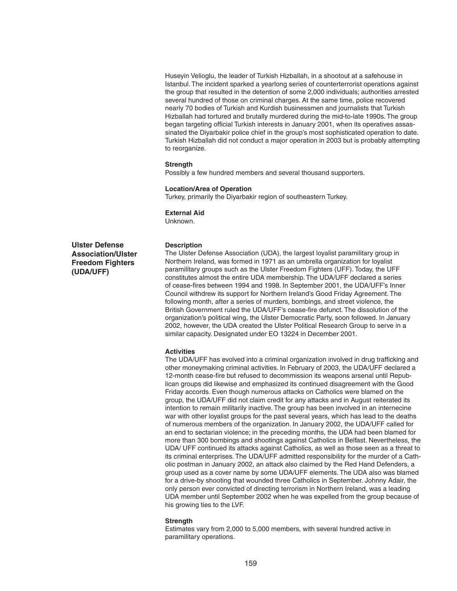Huseyin Velioglu, the leader of Turkish Hizballah, in a shootout at a safehouse in Istanbul. The incident sparked a yearlong series of counterterrorist operations against the group that resulted in the detention of some 2,000 individuals; authorities arrested several hundred of those on criminal charges. At the same time, police recovered nearly 70 bodies of Turkish and Kurdish businessmen and journalists that Turkish Hizballah had tortured and brutally murdered during the mid-to-late 1990s. The group began targeting official Turkish interests in January 2001, when its operatives assassinated the Diyarbakir police chief in the group's most sophisticated operation to date. Turkish Hizballah did not conduct a major operation in 2003 but is probably attempting to reorganize.

#### **Strength**

Possibly a few hundred members and several thousand supporters.

#### **Location/Area of Operation**

Turkey, primarily the Diyarbakir region of southeastern Turkey.

#### **External Aid**

Unknown.

## **Ulster Defense Association/Ulster Freedom Fighters (UDA/UFF)**

## **Description**

The Ulster Defense Association (UDA), the largest loyalist paramilitary group in Northern Ireland, was formed in 1971 as an umbrella organization for loyalist paramilitary groups such as the Ulster Freedom Fighters (UFF). Today, the UFF constitutes almost the entire UDA membership. The UDA/UFF declared a series of cease-fi res between 1994 and 1998. In September 2001, the UDA/UFF's Inner Council withdrew its support for Northern Ireland's Good Friday Agreement. The following month, after a series of murders, bombings, and street violence, the British Government ruled the UDA/UFF's cease-fire defunct. The dissolution of the organization's political wing, the Ulster Democratic Party, soon followed. In January 2002, however, the UDA created the Ulster Political Research Group to serve in a similar capacity. Designated under EO 13224 in December 2001.

#### **Activities**

The UDA/UFF has evolved into a criminal organization involved in drug trafficking and other moneymaking criminal activities. In February of 2003, the UDA/UFF declared a 12-month cease-fire but refused to decommission its weapons arsenal until Republican groups did likewise and emphasized its continued disagreement with the Good Friday accords. Even though numerous attacks on Catholics were blamed on the group, the UDA/UFF did not claim credit for any attacks and in August reiterated its intention to remain militarily inactive. The group has been involved in an internecine war with other loyalist groups for the past several years, which has lead to the deaths of numerous members of the organization. In January 2002, the UDA/UFF called for an end to sectarian violence; in the preceding months, the UDA had been blamed for more than 300 bombings and shootings against Catholics in Belfast. Nevertheless, the UDA/ UFF continued its attacks against Catholics, as well as those seen as a threat to its criminal enterprises. The UDA/UFF admitted responsibility for the murder of a Catholic postman in January 2002, an attack also claimed by the Red Hand Defenders, a group used as a cover name by some UDA/UFF elements. The UDA also was blamed for a drive-by shooting that wounded three Catholics in September. Johnny Adair, the only person ever convicted of directing terrorism in Northern Ireland, was a leading UDA member until September 2002 when he was expelled from the group because of his growing ties to the LVF.

#### **Strength**

Estimates vary from 2,000 to 5,000 members, with several hundred active in paramilitary operations.